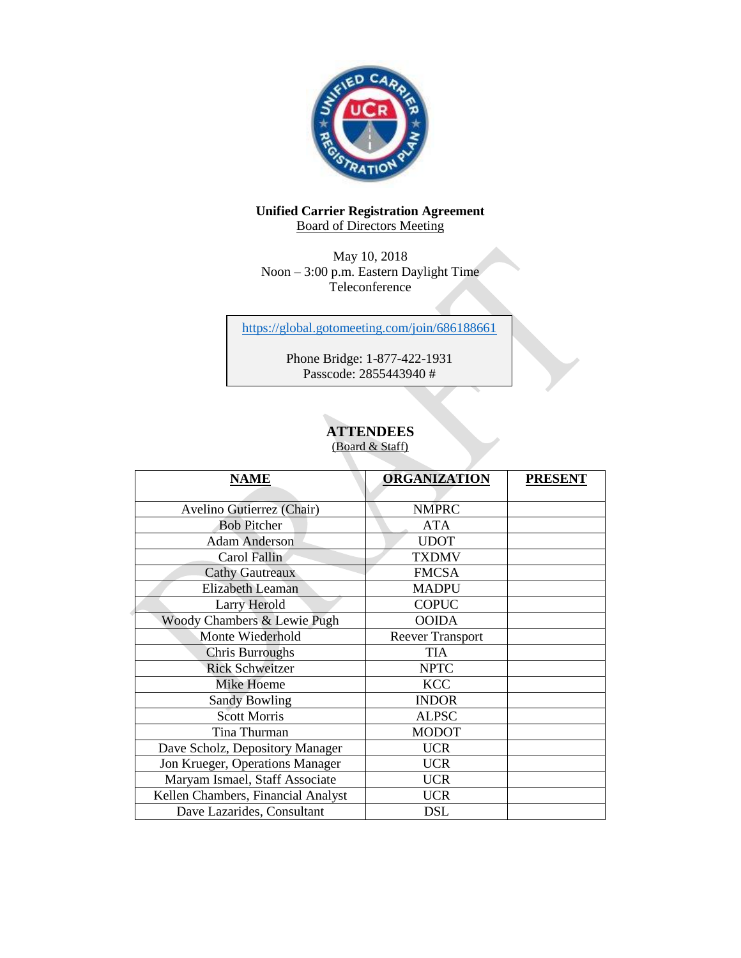

## **Unified Carrier Registration Agreement Board of Directors Meeting**

May 10, 2018 Noon – 3:00 p.m. Eastern Daylight Time Teleconference

<https://global.gotomeeting.com/join/686188661>

Phone Bridge: 1-877-422-1931 Passcode: 2855443940 #

# **ATTENDEES**

(Board & Staff)

| <b>NAME</b>                        | <b>ORGANIZATION</b>     | <b>PRESENT</b> |
|------------------------------------|-------------------------|----------------|
| Avelino Gutierrez (Chair)          | <b>NMPRC</b>            |                |
| <b>Bob Pitcher</b>                 | <b>ATA</b>              |                |
| <b>Adam Anderson</b>               | <b>UDOT</b>             |                |
| Carol Fallin                       | <b>TXDMV</b>            |                |
| <b>Cathy Gautreaux</b>             | <b>FMCSA</b>            |                |
| <b>Elizabeth Leaman</b>            | <b>MADPU</b>            |                |
| Larry Herold                       | <b>COPUC</b>            |                |
| Woody Chambers & Lewie Pugh        | <b>OOIDA</b>            |                |
| Monte Wiederhold                   | <b>Reever Transport</b> |                |
| <b>Chris Burroughs</b>             | <b>TIA</b>              |                |
| <b>Rick Schweitzer</b>             | <b>NPTC</b>             |                |
| <b>Mike Hoeme</b>                  | <b>KCC</b>              |                |
| <b>Sandy Bowling</b>               | <b>INDOR</b>            |                |
| <b>Scott Morris</b>                | <b>ALPSC</b>            |                |
| Tina Thurman                       | <b>MODOT</b>            |                |
| Dave Scholz, Depository Manager    | <b>UCR</b>              |                |
| Jon Krueger, Operations Manager    | <b>UCR</b>              |                |
| Maryam Ismael, Staff Associate     | <b>UCR</b>              |                |
| Kellen Chambers, Financial Analyst | <b>UCR</b>              |                |
| Dave Lazarides, Consultant         | <b>DSL</b>              |                |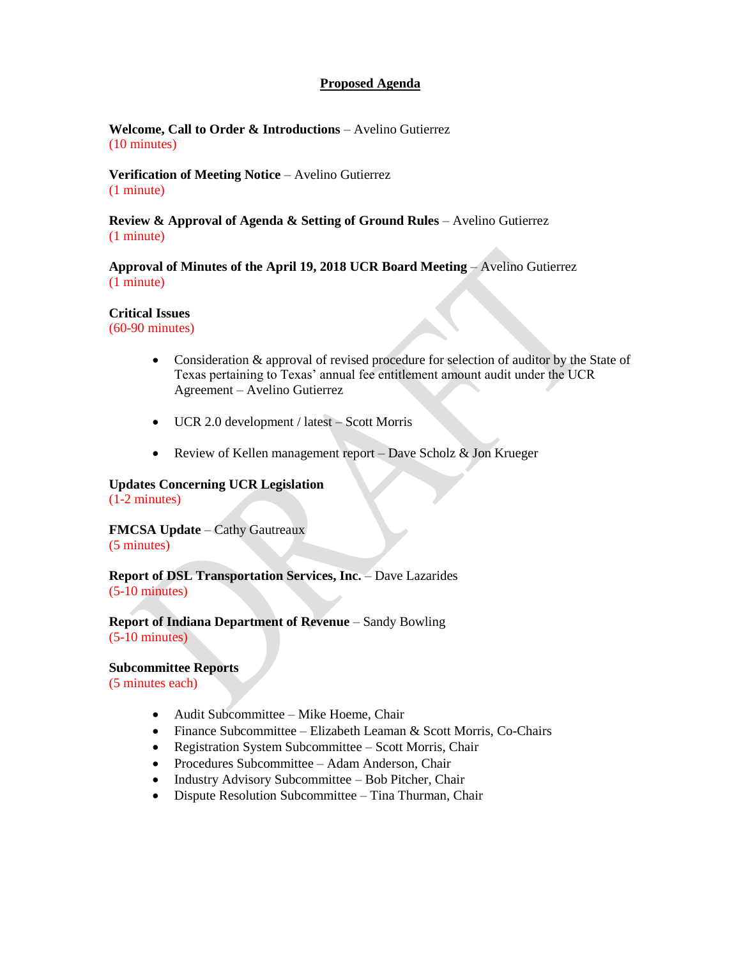### **Proposed Agenda**

**Welcome, Call to Order & Introductions** – Avelino Gutierrez (10 minutes)

**Verification of Meeting Notice** – Avelino Gutierrez (1 minute)

**Review & Approval of Agenda & Setting of Ground Rules** – Avelino Gutierrez (1 minute)

**Approval of Minutes of the April 19, 2018 UCR Board Meeting** – Avelino Gutierrez (1 minute)

#### **Critical Issues**

(60-90 minutes)

- Consideration & approval of revised procedure for selection of auditor by the State of Texas pertaining to Texas' annual fee entitlement amount audit under the UCR Agreement – Avelino Gutierrez
- UCR 2.0 development / latest Scott Morris
- Review of Kellen management report Dave Scholz & Jon Krueger

#### **Updates Concerning UCR Legislation** (1-2 minutes)

**FMCSA Update** – Cathy Gautreaux (5 minutes)

**Report of DSL Transportation Services, Inc.** – Dave Lazarides (5-10 minutes)

**Report of Indiana Department of Revenue** – Sandy Bowling (5-10 minutes)

**Subcommittee Reports**  (5 minutes each)

- Audit Subcommittee Mike Hoeme, Chair
- Finance Subcommittee Elizabeth Leaman & Scott Morris, Co-Chairs
- Registration System Subcommittee Scott Morris, Chair
- Procedures Subcommittee Adam Anderson, Chair
- Industry Advisory Subcommittee Bob Pitcher, Chair
- Dispute Resolution Subcommittee Tina Thurman, Chair